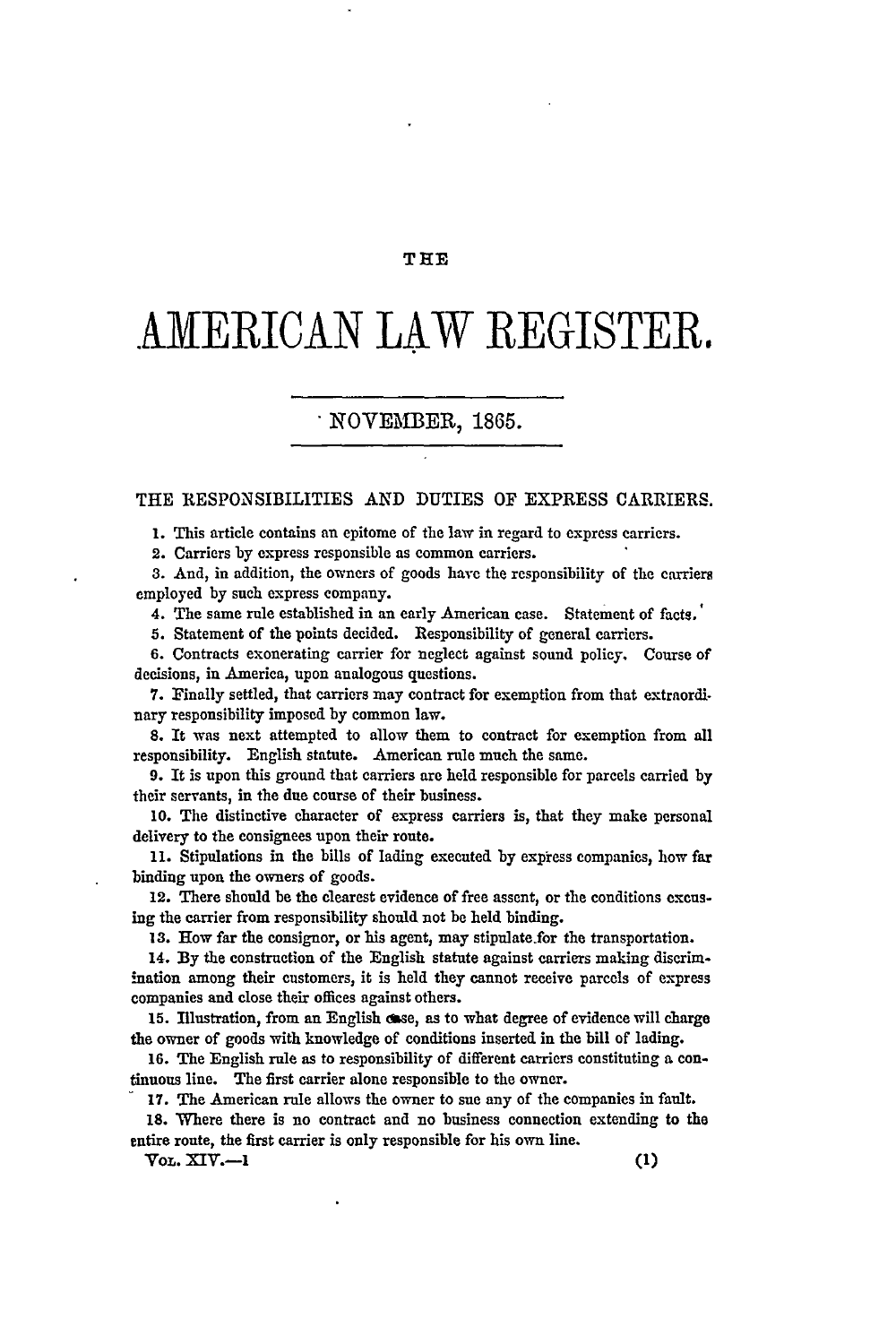#### **THE**

# **AMERICAN LAW** REGISTER.

## NOVEMBER, **1865.**

#### **THE** RESPONSIBILITIES AND DUTIES OF EXPRESS CARRIERS.

**1.** This article contains an epitome of the law in regard to express carriers.

2. Carriers **by** express responsible as common carriers.

**3. And,** in addition, the owners of goods have the responsibility of the carriers employed by such express company.

4. The same rule established in an early American case. Statement of facts.'

**5.** Statement of the points decided. Responsibility of general carriers.

**6.** Contracts exonerating carrier for neglect against sound policy. Course of decisions, in America, upon analogous questions.

7. Finally settled, that carriers may contract for exemption from that extraordi. nary responsibility imposed **by** common law.

**8.** It was next attempted to allow them to contract for exemption from all responsibility. English statute. American rule much the same.

**9.** It is upon this ground that carriers are held responsible for parcels carried by their servants, in the due course of their business.

**10.** The distinctive character of express carriers is, that they make personal delivery to the consignees upon their route.

11. Stipulations in the bills of lading executed **by** express companies, how far binding upon the owners of goods.

12. There should be the clearest evidence of free assent, or the conditions excusing the carrier from responsibility should not be held binding.

**13.** How far the consignor, or his agent, may stipulate.for the transportation.

14. **By** the construction of the English statute against carriers making discrimination among their customers, it is held they cannot receive parcels of express companies and close their offices against others.

15. Illustration, from an English case, as to what degree of evidence will charge the owner of goods with knowledge of conditions inserted in the bill of lading.

**16.** The English rule as to responsibility of different carriers constituting a continuous line. The first carrier alone responsible to the owner.

17. The American rule allows the owner to sue any of the companies in fault.

**18.** Where there is no contract and no business connection extending to the entire route, the first carrier is only responsible for his own line.

 $V_{\text{OL}}$ , **XIV.**—I (1)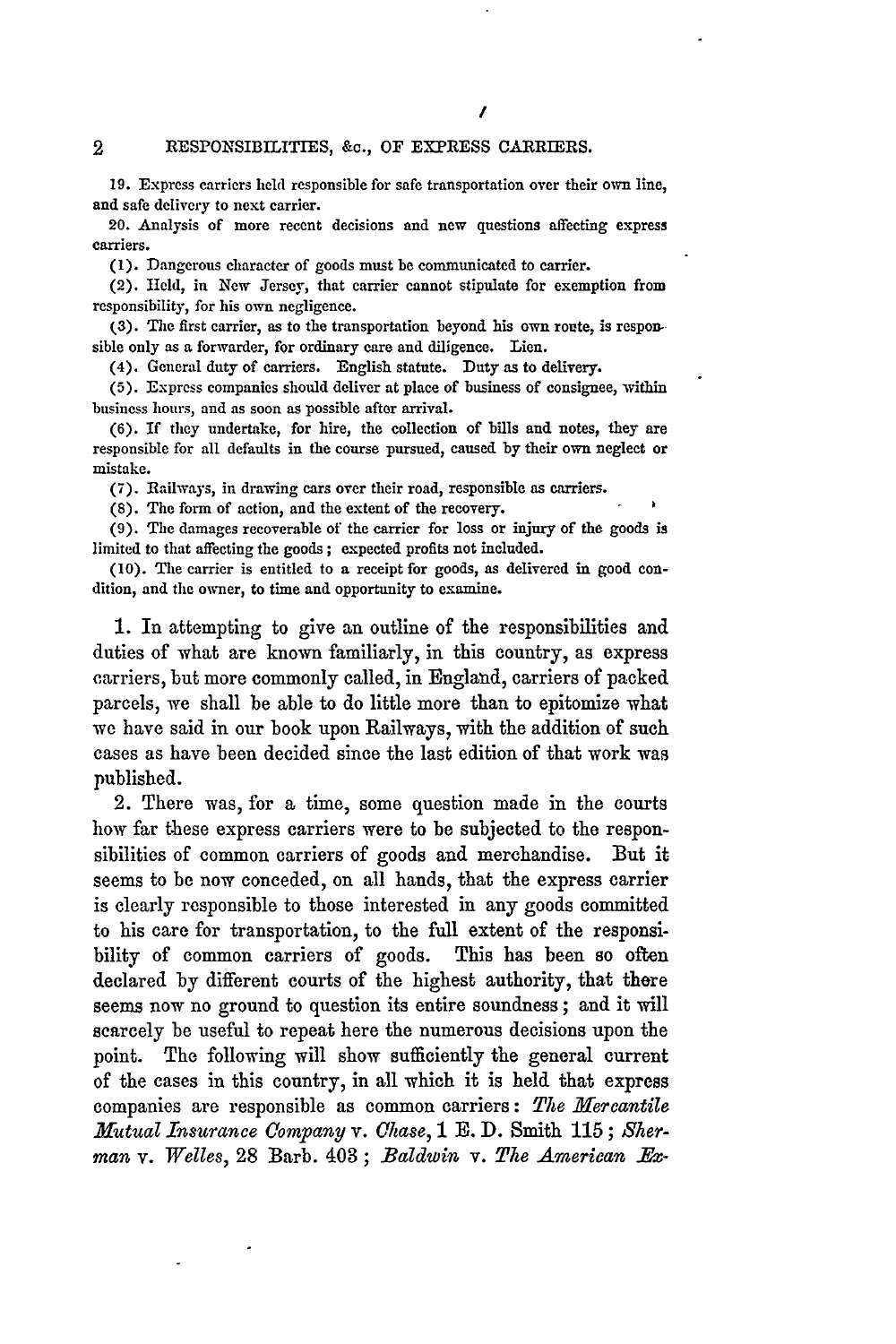19. Express carriers held responsible for safe transportation over their own line, and safe delivery to next carrier.

20. Analysis of more recent decisions and new questions affecting express carriers.

**(1).** Dangerous character of goods must be communicated to carrier.

(2). Held, in New Jersey, that carrier cannot stipulate for exemption from responsibility, for his own negligence.

**(3).** The first carrier, as to the transportation beyond his own route, is responsible only as a forwarder, for ordinary care and diligence. Lien.

(4). General duty of carriers. English statute. Duty as to delivery.

**(5).** Express companies should deliver at place of business of consignee, within business hours, and as soon as possible after arrival.

(6). If they undertake, for hire, the collection of bills and notes, they are responsible for all defaults in the course pursued, caused **by** their own neglect or mistake.

(7). Railways, in drawing cars over their road, responsible as carriers.

**(8).** The form of action, and the extent of the recovery.

(9). The damages recoverable of the carrier for loss or injury of the goods is limited to that affecting the goods **;** expected profits not included.

(10). The carrier is entitled to a receipt for goods, as delivered in good condition, and the owner, to time and opportunity to examine.

**1.** In attempting to give an outline of the responsibilities and duties of what are known familiarly, in this country, as express carriers, but more commonly called, in England, carriers of packed parcels, we shall be able to do little more than to epitomize what we have said in our book upon Railways, with the addition of such cases as have been decided since the last edition of that work was published.

2. There was, for a time, some question made in the courts how far these express carriers were to be subjected to the responsibilities of common carriers of goods and merchandise. But it seems to be now conceded, on all hands, that the express carrier is clearly responsible to those interested in any goods committed to his care for transportation, to the full extent of the responsibility of common carriers of goods. This has been so often declared **by** different courts of the highest authority, that there seems now no ground to question its entire soundness; and it will scarcely be useful to repeat here the numerous decisions upon the point. The following will show sufficiently the general current of the cases in this country, in all which it is held that express companies are responsible as common carriers: The Mercantile *Mutual Insurance Company v. Chase,* 1 **E. D.** Smith 115; *Sherman* v. *Welles,* 28 Barb. 403; *Baldwin* v. The American Ex-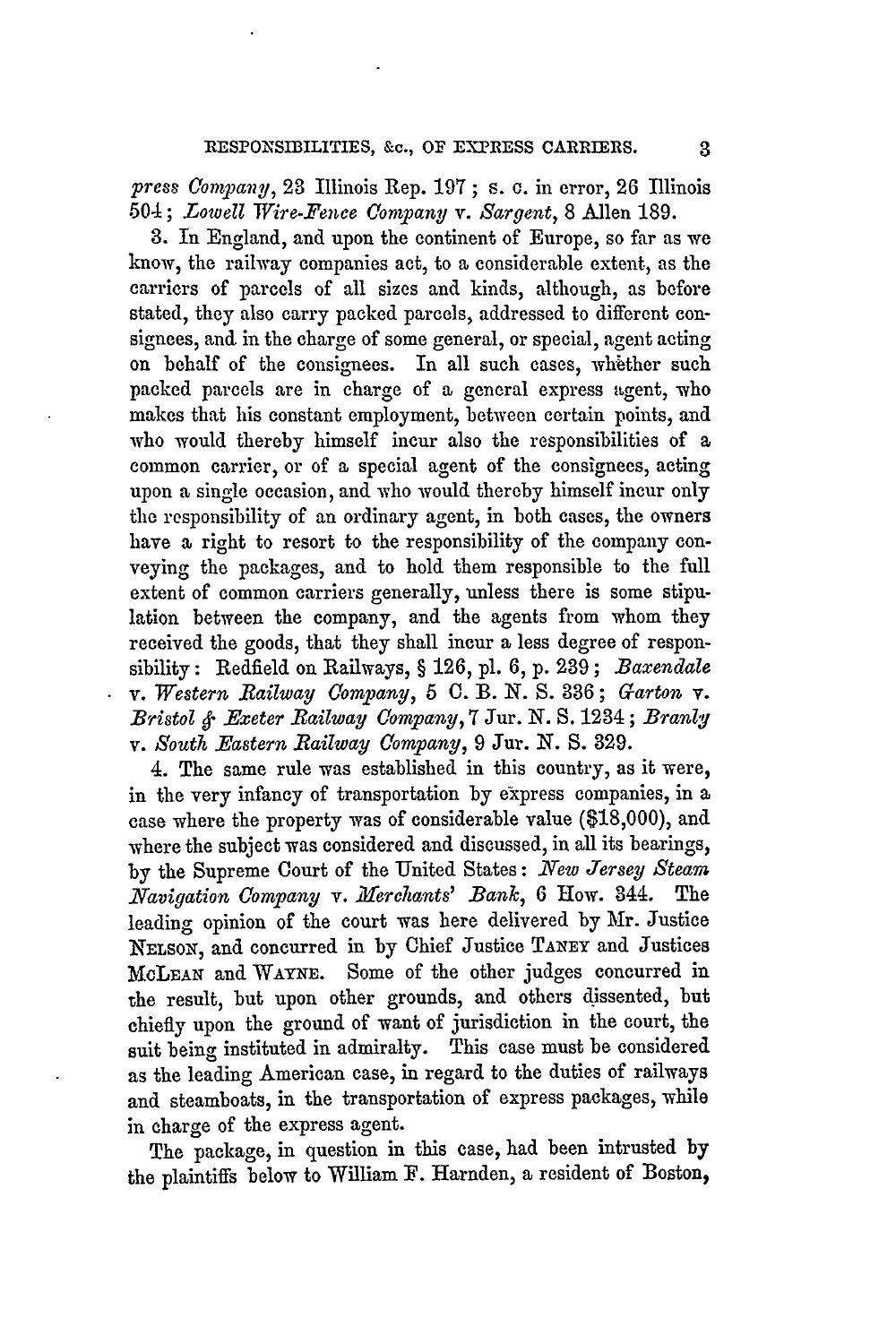*press Company,* **23** Illinois Rep. 197; s. **c.** in error, **26** Illinois 504; *Lowell Wire-Fence Company v.* Sargent, 8 Allen 189.

3. In England, and upon the continent of Europe, so far as we know, the railway companies act, to a considerable extent, as the carriers of parcels of all sizes and kinds, although, as before stated, they also carry packed parcels, addressed to different consignees, and in the charge of some general, or special, agent acting on behalf of the consignees. In all such cases, whether such packed parcels are in charge of a general express agent, who makes that his constant employment, between certain points, and who would thereby himself incur also the responsibilities of a common carrier, or of a special agent of the consignees, acting upon a single occasion, and who would thereby himself incur only the responsibility of an ordinary agent, in both cases, the owners have **a** right to resort to the responsibility of the company conveying the packages, and to hold them responsible to the full extent of common carriers generally, unless there is some stipulation between the company, and the agents from whom they received the goods, that they shall incur a less degree of responsibility: Redfield on Railways, § 126, pl. 6, p. **239;** *Baxendale* v. *Western Railway Company,* 5 **C.** B. *N.* **S.** 386; *Garton v. Bristol & Exeter Railway Company,* **7** Jur. N. S. 1234; *Branly v. South Eastern Bailway Company,* 9 Jur. *N.* S. 329.

4. The same rule was established in this country, as it were, in the very infancy of transportation by express companies, in a case where the property was of considerable value (\$18,000), and where the subject was considered and discussed, in all its bearings, by the Supreme Court of the United States: *New Jersey Steam Navigation Company v. Merchants' Bank,* 6 How. 344. The leading opinion of the court was here delivered by Mr. Justice NELSON, and concurred in by Chief Justice **TANEY** and Justices MCLEAN and WAYNE. Some of the other judges concurred in the result, but upon other grounds, and others dissented, but chiefly upon the ground of want of jurisdiction in the court, the suit being instituted in admiralty. This case must be considered as the leading American case, in regard to the duties of railways and steamboats, in the transportation of express packages, while in charge of the express agent.

The package, in question in this case, had been intrusted by the plaintiffs below to William F. Harnden, **a** resident of Boston,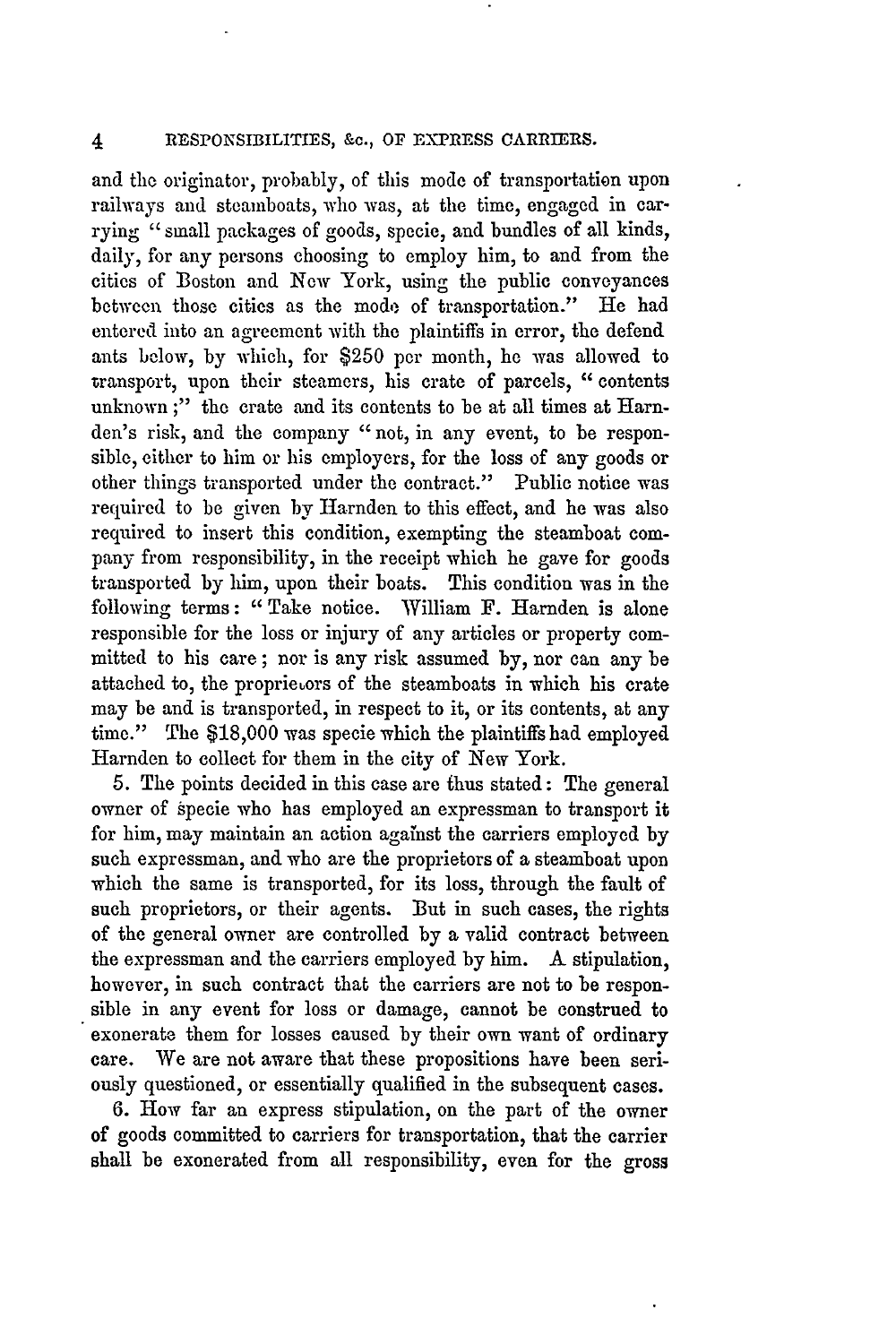and the originator, probably, of this mode of transportation upon railways and steamboats, who was, at the time, engaged in carrying " small packages of goods, specie, and bundles of all kinds, daily, for any persons choosing to employ him, to and from the cities of Boston and New York, using the public conveyances between those cities as the mode of transportation." He had entered into an agreement with the plaintiffs in error, the defend ants below, by which, for \$250 per month, he was allowed to transport, upon their steamers, his crate of parcels, "contents unknown;" the crate and its contents to be at all times at Harnden's risk, and the company "not, in any event, to be responsible, either to him or his employers, for the loss of any goods or other things transported under the contract." Public notice was required to be given **by** Harnden to this effect, and he was also required to insert this condition, exempting the steamboat company from responsibility, in the receipt which he gave for goods transported **by** him, upon their boats. This condition was in the following terms: "Take notice. William F. Harnden is alone responsible for the loss or injury of any articles or property committed to his care; nor is any risk assumed by, nor can any be attached to, the proprietors of the steamboats in which his crate may be and is transported, in respect to it, or its contents, at any time." The \$18,000 was specie which the plaintiffs had employed Harnden to collect for them in the city of New York.

5. The points decided in this case are thus stated: The general owner of specie who has employed an expressman to transport it for him, may maintain an action against the carriers employed by such expressman, and who are the proprietors of a steamboat upon which the same is transported, for its loss, through the fault of such proprietors, or their agents. But in such cases, the rights of the general owner are controlled **by** a valid contract between the expressman and the carriers employed by him. A stipulation, however, in such contract that the carriers are not to be responsible in any event for loss or damage, cannot be construed to exonerate them for losses caused **by** their own want of ordinary care. We are not aware that these propositions have been seriously questioned, or essentially qualified in the subsequent cases.

6. How far an express stipulation, on the part of the owner of goods committed to carriers for transportation, that the carrier shall be exonerated from all responsibility, even for the gross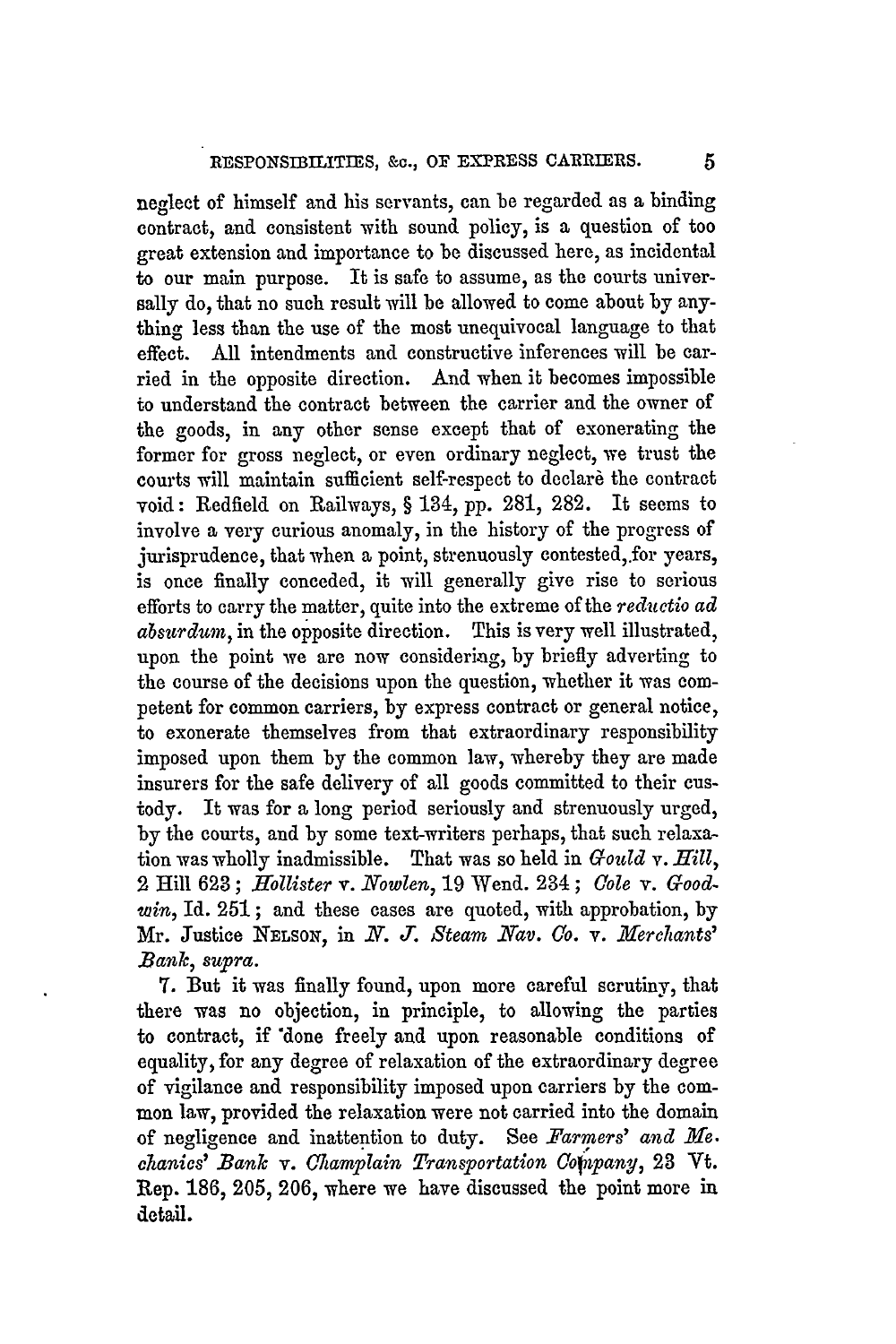neglect of himself and his servants, can be regarded as a binding contract, and consistent with sound policy, is a question of too great extension and importance to be discussed here, as incidental to our main purpose. It is safe to assume, as the courts universally do, that no such result will be allowed to come about by anything less than the use of the most unequivocal language to that effect. All intendments and constructive inferences will be carried in the opposite direction. And when it becomes impossible to understand the contract between the carrier and the owner of the goods, in any other sense except that of exonerating the former for gross neglect, or even ordinary neglect, we trust the courts will maintain sufficient self-respect to declare the contract void: Redfield on Railways, § 134, **pp. 281, 282.** It seems to involve a very curious anomaly, in the history of the progress of jurisprudence, that when a point, strenuously contested, for years, is once finally conceded, it will generally give rise to serious efforts to carry the matter, quite into the extreme of the *reductio ad absurdum,* in the opposite direction. This is very well illustrated, upon the point we are now considering, by briefly adverting to the course of the decisions upon the question, whether it was competent for common carriers, by express contract or general notice, to exonerate themselves from that extraordinary responsibility imposed upon them by the common law, whereby they are made insurers for the safe delivery of all goods committed to their custody. It was for a long period seriously and strenuously urged, by the courts, and by some text-writers perhaps, that such relaxation was wholly inadmissible. That was so held in *Gould v. Hill,* 2 Hill 623; *Hollister v. Nowlen,* 19 Wend. 234; *Cole v. Goodwin,* Id. **251;** and these cases are quoted, with approbation, by Mr. Justice **NELSON,** in *N. J. Steam Nav. Co. v. 11ferehants' Bank supra.*

**T.** But it was finally found, upon more careful scrutiny, that there was no objection, in principle, to allowing the parties to contract, if 'done freely and upon reasonable conditions of equality, for any degree of relaxation of the extraordinary degree of vigilance and responsibility imposed upon carriers by the common law, provided the relaxation were not carried into the domain of negligence and inattention to duty. See *Farmers' and Me. chanics' Bank v. Champlain Transportation Cofnpany,* **23** Vt. Rep. 186, 205, 206, where we have discussed the point more in detail.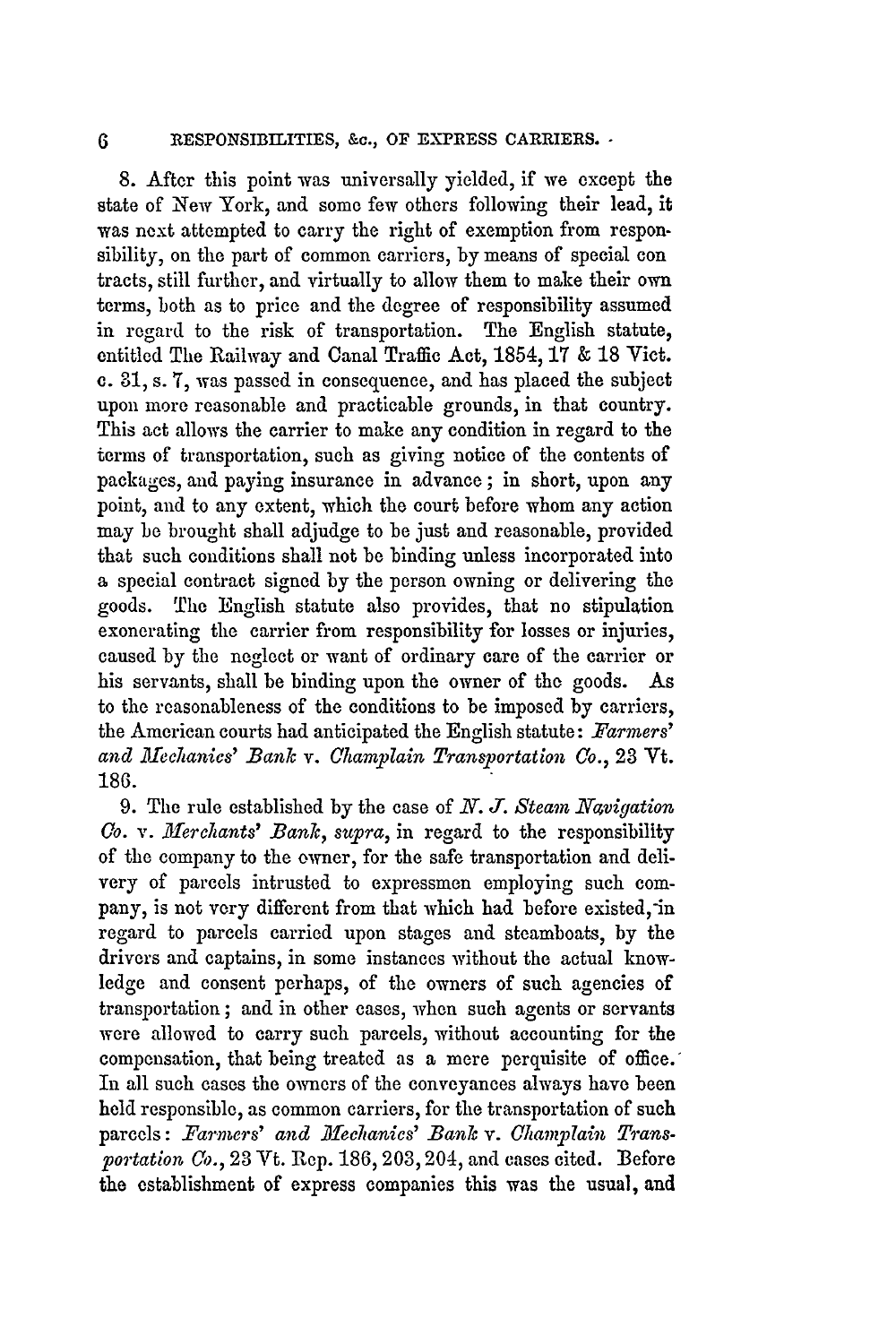8. After this point was universally yielded, if we except the state of New York, and some few others following their lead, it was next attempted to carry the right of exemption from responsibility, on the part of common carriers, by means of special con tracts, still further, and virtually to allow them to make their own terms, both as to price and the degree of responsibility assumed in regard to the risk of transportation. The English statute, entitled The Railway and Canal Traffic Act, 1854, 17 & 18 Viet. **c.** *31,* s. **7,** was passed in consequence, and has placed the subject upon more reasonable and practicable grounds, in that country. This act allows the carrier to make any condition in regard to the terms of transportation, such as giving notice of the contents of packages, and paying insurance in advance; in short, upon **any** point, and to any extent, which the court before whom any action may be brought shall adjudge to be just and reasonable, provided that such conditions shall not be binding unless incorporated into a special contract signed by the person owning or delivering the goods. The English statute also provides, that no stipulation exonerating the carrier from responsibility for losses or injuries, caused by the neglect or want of ordinary care of the carrier or his servants, shall be binding upon the owner of the goods. As to the reasonableness of the conditions to be imposed **by** carriers, the American courts had anticipated the English statute: *Farmers' and Mechanics' Bank v. Champlain Transportation Co.,* **23** Vt. 186.

9. The rule established by the case of *N. J. Steam Navigation Co. v. M3erchants' Bank, supra,* in regard to the responsibility of the company to the owner, for the safe transportation and delivery of parcels intrusted to expressmen employing such company, is not very different from that which had before existed, in regard to parcels carried upon stages and steamboats, by the drivers and captains, in some instances without the actual knowledge and consent perhaps, of the owners of such agencies of transportation; and in other cases, when such agents or servants were allowed to carry such parcels, without accounting for the compensation, that being treated as a mere perquisite of office.' In all such cases the owners of the conveyances always have been held responsible, as common carriers, for the transportation of such parcels: Farmers' and Mechanics' Bank v. Champlain Trans*portation Co.,* 23 Vt. Rep. 186, 203,204, and cases cited. Before the establishment of express companies this was the usual, and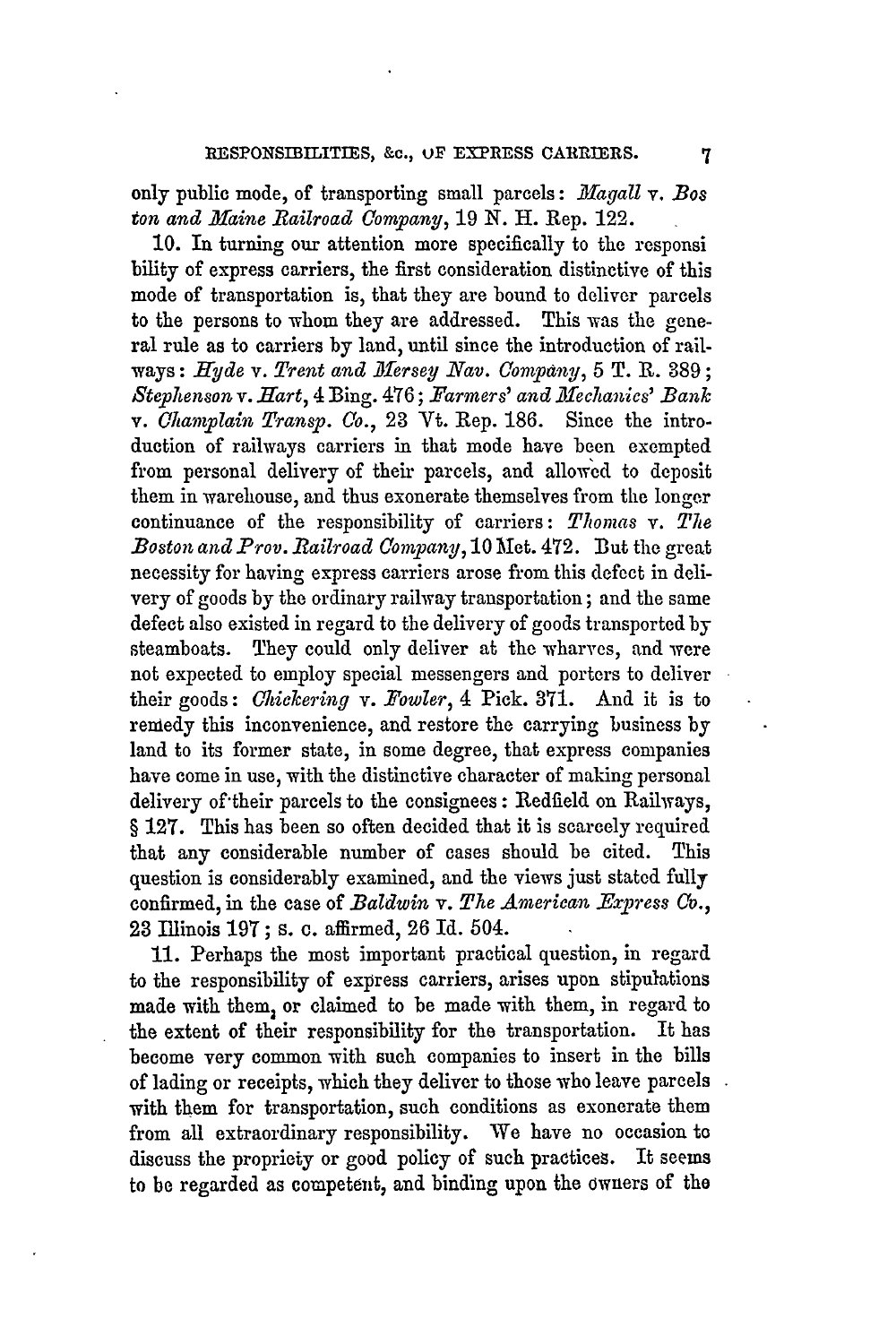only public mode, of transporting small parcels: *Magall* v. *Bos ton and Maine Railroad Company,* **19** *N.* H. Rep. 122.

10. In turning our attention more specifically to the responsi bility of express carriers, the first consideration distinctive of this mode of transportation is, that they are bound to deliver parcels to the persons to whom they are addressed. This was the general rule as to carriers by land, until since the introduction of railways: *Hyde* v. Trent and Mersey Nav. Company, 5 T. R. 389; *Stephenson v. Hart,* 4 Bing. 476; *Farmers' and Mlfeclanics' Bank* v. *Champlain Transp. Co.,* 23 Vt. Rep. 186. Since the introduction of railways carriers in that mode have been exempted from personal delivery of their parcels, and allowed to deposit them in warehouse, and thus exonerate themselves from the longer continuance of the responsibility of carriers: *Thomas v. The Boston and Prov. .1ailroad Company,* 10 Met. 472. But the great necessity for having express carriers arose from this defect in delivery of goods by the ordinary railway transportation; and the same defect also existed in regard to the delivery of goods transported by steamboats. They could only deliver at the wharves, and were not expected to employ special messengers and porters to deliver their goods: *Oickering v. Fowler,* 4 Pick. 371. And it is to remedy this inconvenience, and restore the carrying business by land to its former state, in some degree, that express companies have come in use, with the distinctive character of making personal delivery of'their parcels to the consignees : Redfield on Railways, § 127. This has been so often decided that it is scarcely required that any considerable number of cases should be cited. This question is considerably examined, and the views just stated fully confirmed, in the case of *Baldwin v. The American \_Express Co.,* 23 Illinois 197; **S.** c. affirmed, **26** Id. 504.

11. Perhaps the most important practical question, in regard to the responsibility of express carriers, arises upon stipulations made with them, or claimed to be made with them, in regard to the extent of their responsibility for the transportation. It has become very common with such companies to insert in the bills of lading or receipts, which they deliver to those who leave parcels with them for transportation, such conditions as exonerate them from all extraordinary responsibility. We have no occasion to discuss the propriety or good policy of such practices. It seems to be regarded as competent, and binding upon the owners of the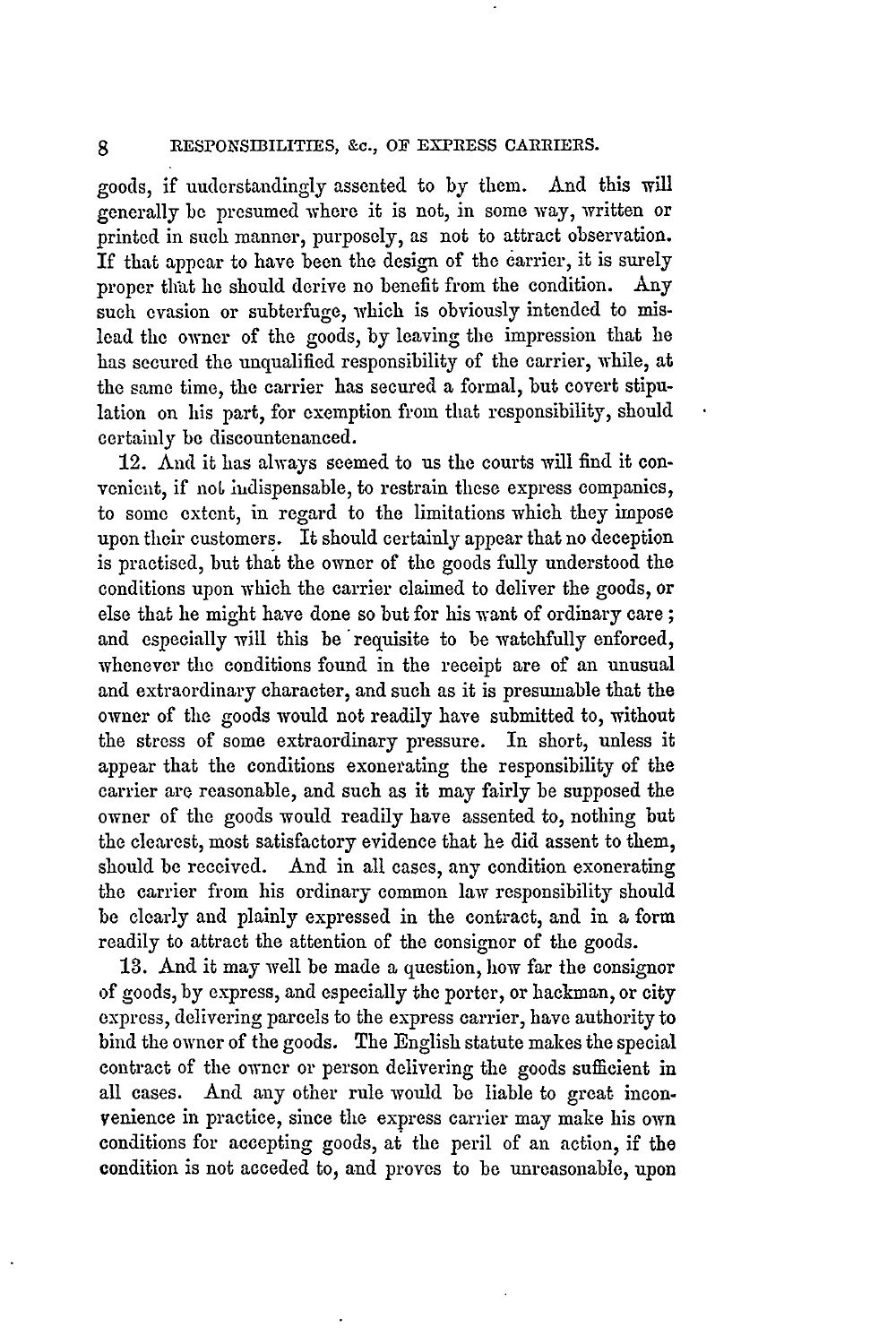goods, if understandingly assented to by them. And this will generally **be** presumed where it is not, in some way, written or printed in such manner, purposely, as not to attract observation. If that appear to have been the design of the carrier, it is surely proper that he should derive no benefit from the condition. Any such evasion or subterfuge, which is obviously intended to mislead the owner of the goods, by leaving the impression that he has secured the unqualified responsibility of the carrier, while, at the same time, the carrier has secured a formal, but covert stipulation on his part, for exemption from that responsibility, should certainly be discountenanced.

12. And it has always seemed to us the courts will find it convenient, if not indispensable, to restrain these express companies, to some extent, in regard to the limitations which they impose upon their customers. It should certainly appear that no deception is practised, but that the owner of the goods fully understood the conditions upon which the carrier claimed to deliver the goods, or else that he might have done so but for his want of ordinary care **;** and especially will this be 'requisite to be watchfully enforced, whenever the conditions found in the receipt are of an unusual and extraordinary character, and such as it is presumable that the owner of the goods would not readily have submitted to, without the stress of some extraordinary pressure. In short, unless it appear that the conditions exonerating the responsibility of the carrier are reasonable, and such as it may fairly be supposed the owner of the goods would readily have assented to, nothing but the clearest, most satisfactory evidence that he did assent to them, should be received. And in all cases, any condition exonerating the carrier from his ordinary common law responsibility should be clearly and plainly expressed in the contract, and in a form readily to attract the attention of the consignor of the goods.

**13.** And it may well be made a question, how far the consignor of goods, by express, and especially the porter, or hackman, or city express, delivering parcels to the express carrier, have authority to bind the owner of the goods. The English statute makes the special contract of the owner or person delivering the goods sufficient in all cases. And any other rule would be liable to great inconvenience in practice, since the express carrier may make his own conditions for accepting goods, at the peril of an action, if the condition is not acceded to, and proves to be unreasonable, upon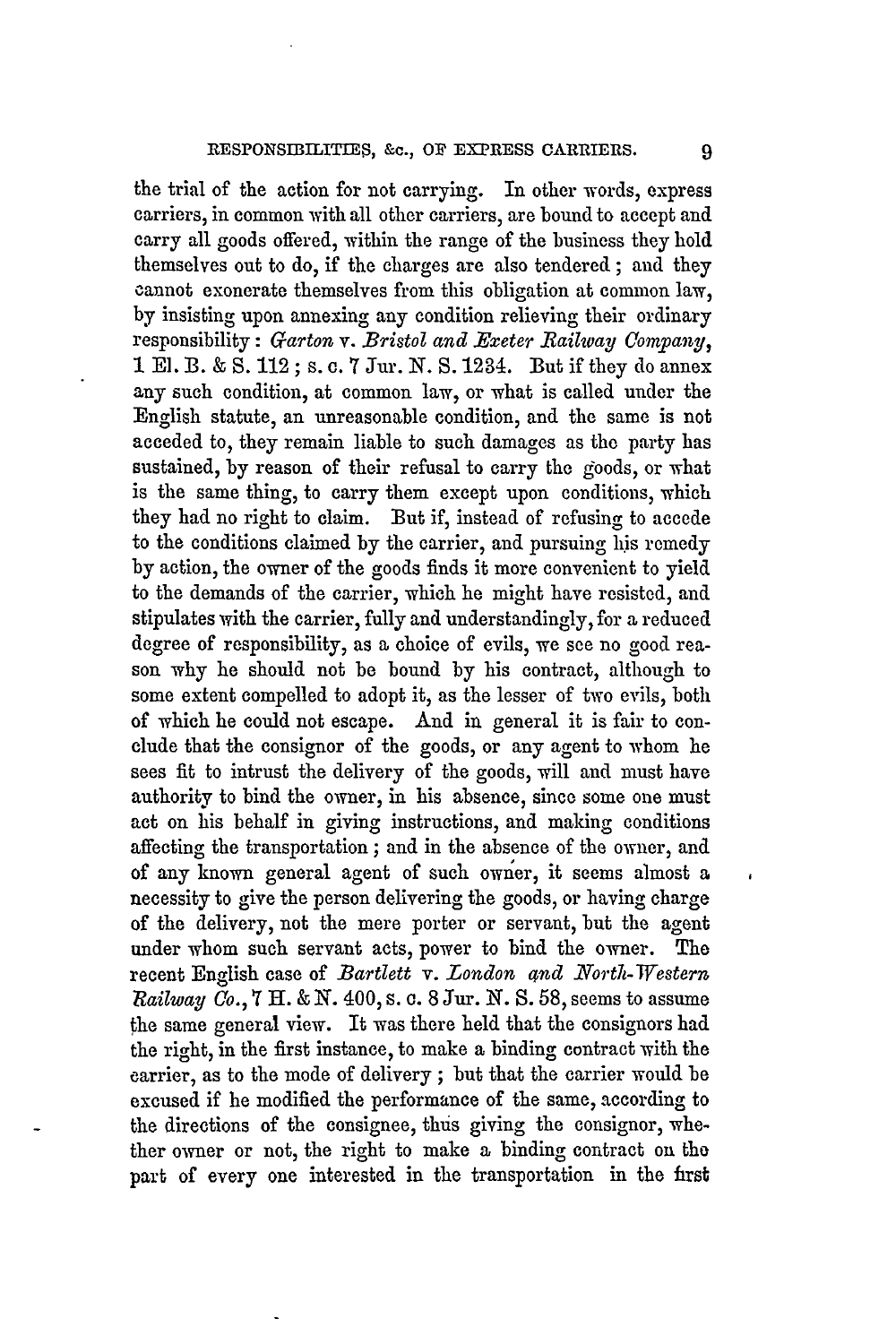the trial of the action for not carrying. In other words, express carriers, in common with all other carriers, are bound to accept and carry all goods offered, within the range of the business they hold themselves out to do, if the charges are also tendered ; and they cannot exonerate themselves from this obligation at common law, by insisting upon annexing any condition relieving their ordinary responsibility: *Garton v. Bristol and Bxeter Railway Uompany,* 1 El. B. & S. 112; s. c. 7 Jur. N. S. 1234. But if they do annex any such condition, at common law, or what is called under the English statute, an unreasonable condition, and the same is not acceded to, they remain liable to such damages as the party has sustained, by reason of their refusal to carry the goods, or what is the same thing, to carry them except upon conditions, which they had no right to claim. But if, instead of refusing to accede to the conditions claimed by the carrier, and pursuing his remedy by action, the owner of the goods finds it more convenient to yield to the demands of the carrier, which he might have resisted, and stipulates with the carrier, fully and understandingly, for a reduced degree of responsibility, as a choice of evils, we see no good reason why he should not be bound by his contract, although to some extent compelled to adopt it, as the lesser of two evils, both of which he could not escape. And in general it is fair to conclude that the consignor of the goods, or any agent to whom he sees fit to intrust the delivery of the goods, will and must have authority to bind the owner, in his absence, since some one must act on his behalf in giving instructions, and making conditions affecting the transportation; and in the absence of the owner, and of any known general agent of such owner, it seems almost a necessity to give the person delivering the goods, or having charge of the delivery, not the mere porter or servant, but the agent under whom such servant acts, power to bind the owner. The recent English case of *Bartlett* v. London and North-Western *Railway Co.,* **7 Hl. &** *N.* 400, s. c. 8 Jur. *N.* S. 58, seems to assume the same general view. It was there held that the consignors had the right, in the first instance, to make a binding contract with the carrier, as to the mode of delivery ; but that the carrier would be excused if he modified the performance of the same, according to the directions of the consignee, thus giving the consignor, whether owner or not, the right to make a binding contract on the part of every one interested in the transportation in the frst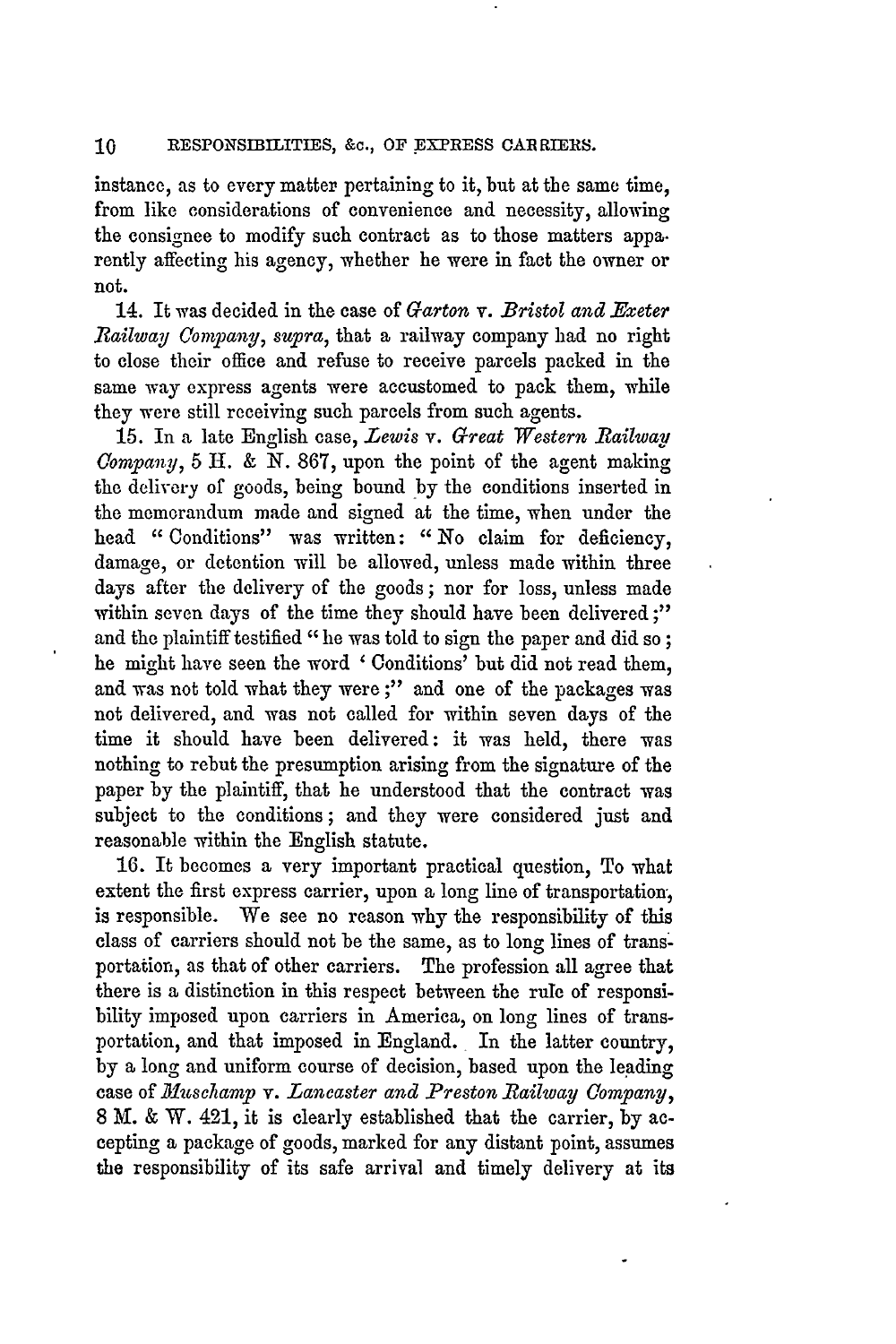instance, as to every matter pertaining to it, but at the same time, from like considerations of convenience and necessity, allowing the consignee to modify such contract as to those matters appa. rently affecting his agency, whether he were in fact the owner or not.

14. It was decided in the case of *Garton v. Bristol and Exeter Railway Company, supra,* that a railway company had no right to close their office and refuse to receive parcels packed in the same way express agents were accustomed to pack them, while they were still receiving such parcels from such agents.

15. In a late English case, *Lewis v. Great Western Railway Gompany,* 5 H. & N. 867, upon the point of the agent making the delivery of goods, being bound by the conditions inserted in the memorandum made and signed at the time, when under the head *"* Conditions" was written: *"* No claim for deficiency, damage, or detention will be allowed, unless made within three days after the delivery of the goods; nor for loss, unless made within seven days of the time they should have been delivered;" and the plaintiff testified "he was told to sign the paper and did so; he might have seen the word ' Conditions' but did not read them, and was not told what they were;" and one of the packages was not delivered, and was not called for within seven days of the time it should have been delivered: it was held, there was nothing to rebut the presumption arising from the signature of the paper by the plaintiff, that he understood that the contract was subject to the conditions; and they were considered just and reasonable within the English statute.

**16.** It becomes a very important practical question, To what extent the first express carrier, upon a long line of transportation: is responsible. We see no reason why the responsibility of this class of carriers should not be the same, as to long lines of transportation, as that of other carriers. The profession all agree that there is a distinction in this respect between the rule of responsibility imposed upon carriers in America, on long lines of transportation, and that imposed in England. In the latter country, **by** a long and uniform course of decision, based upon the leading case of *Muscl amp v. Lancaster and Preston Railway Company,* 8 M. & W. 421, it is clearly established that the carrier, by accepting a package of goods, marked for any distant point, assumes the responsibility of its safe arrival and timely delivery at its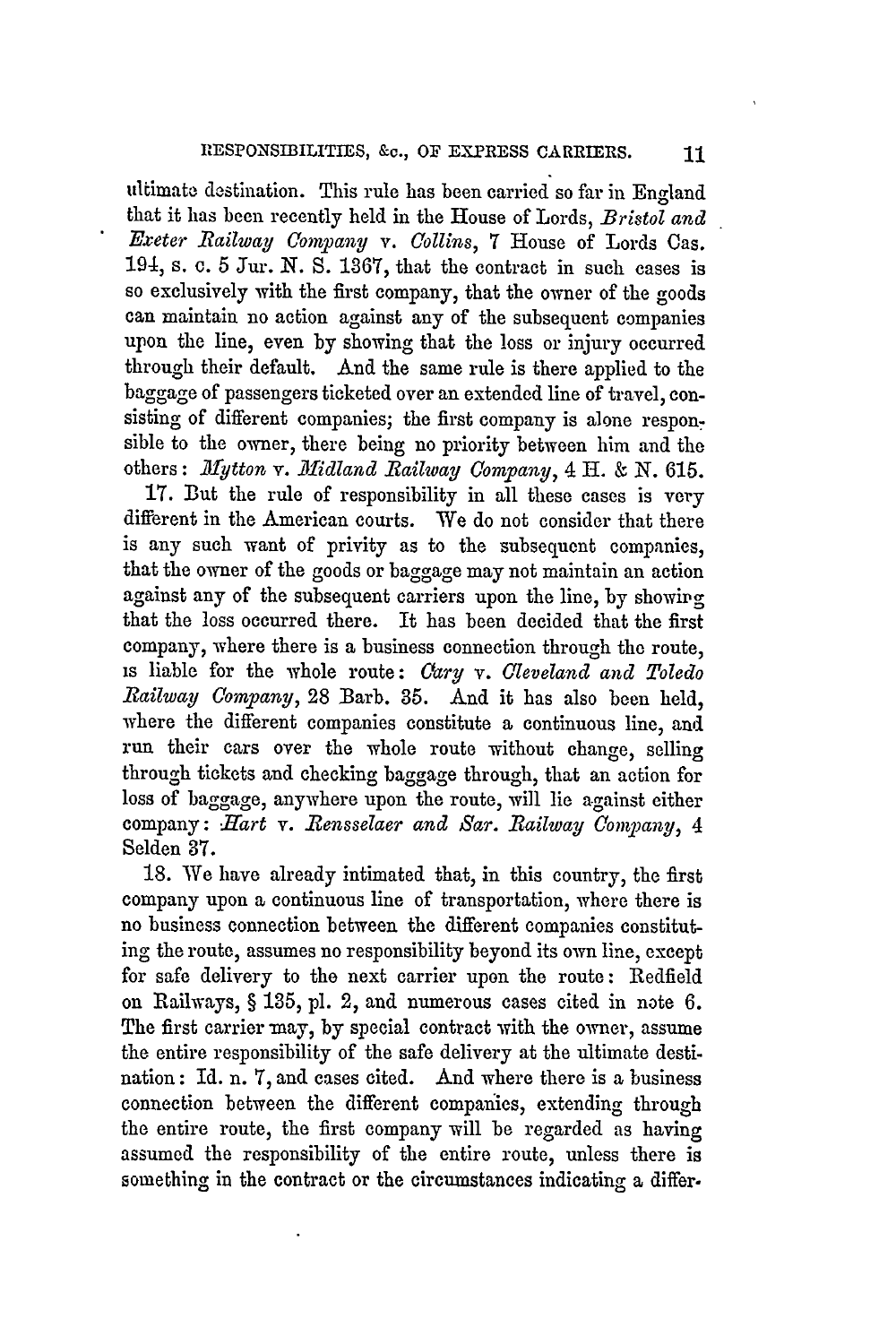ultimate destination. This rule has been carried so far in England that it has been recently held in the House of Lords, *Bristol and Exeter Railway Company v. Collins,* 7 House of Lords Cas. 194, s. c. 5 Jur. N. S. 1367, that the contract in such cases is so exclusively with the first company, that the owner of the goods can maintain no action against any of the subsequent companies upon the line, even by showing that the loss or injury occurred through their default. And the same rule is there applied to the baggage of passengers ticketed over an extended line of travel, consisting of different companies; the first company is alone responsible to the owner, there being no priority between him and the others: *Mytton v. Midland Railway Company*, 4 H. & N. 615.

17. But the rule of responsibility in all these cases is very different in the American courts. We do not consider that there is any such want of privity as to the subsequent companies, that the owner of the goods or baggage may not maintain an action against any of the subsequent carriers upon the line, by showirg that the loss occurred there. It has been decided that the first company, where there is a business connection through the route, is liable for the whole route: *Cary v. Cleveland and Toledo Railway Company,* 28 Barb. **35.** And it has also been held, where the different companies constitute a continuous line, and run their cars over the whole route without change, selling through tickets and checking baggage through, that an action for loss of baggage, anywhere upon the route, will lie against either company: *Hart* v. *Rensselaer and Sar. Railway Oompany, 4* Selden 37.

18. We have already intimated that, in this country, the first company upon a continuous line of transportation, where there is no business connection between the different companies constituting the route, assumes no responsibility beyond its own line, except for safe delivery to the next carrier upon the route: Redfield on Railways, § 135, pl. 2, and numerous cases cited in note 6. The first carrier may, by special contract with the owner, assume the entire responsibility of the safe delivery at the ultimate destination: Id. n. 7, and cases cited. And where there is a business connection between the different companies, extending through the entire route, the first company will be regarded as having assumed the responsibility of the entire route, unless there is something in the contract or the circumstances indicating a differ.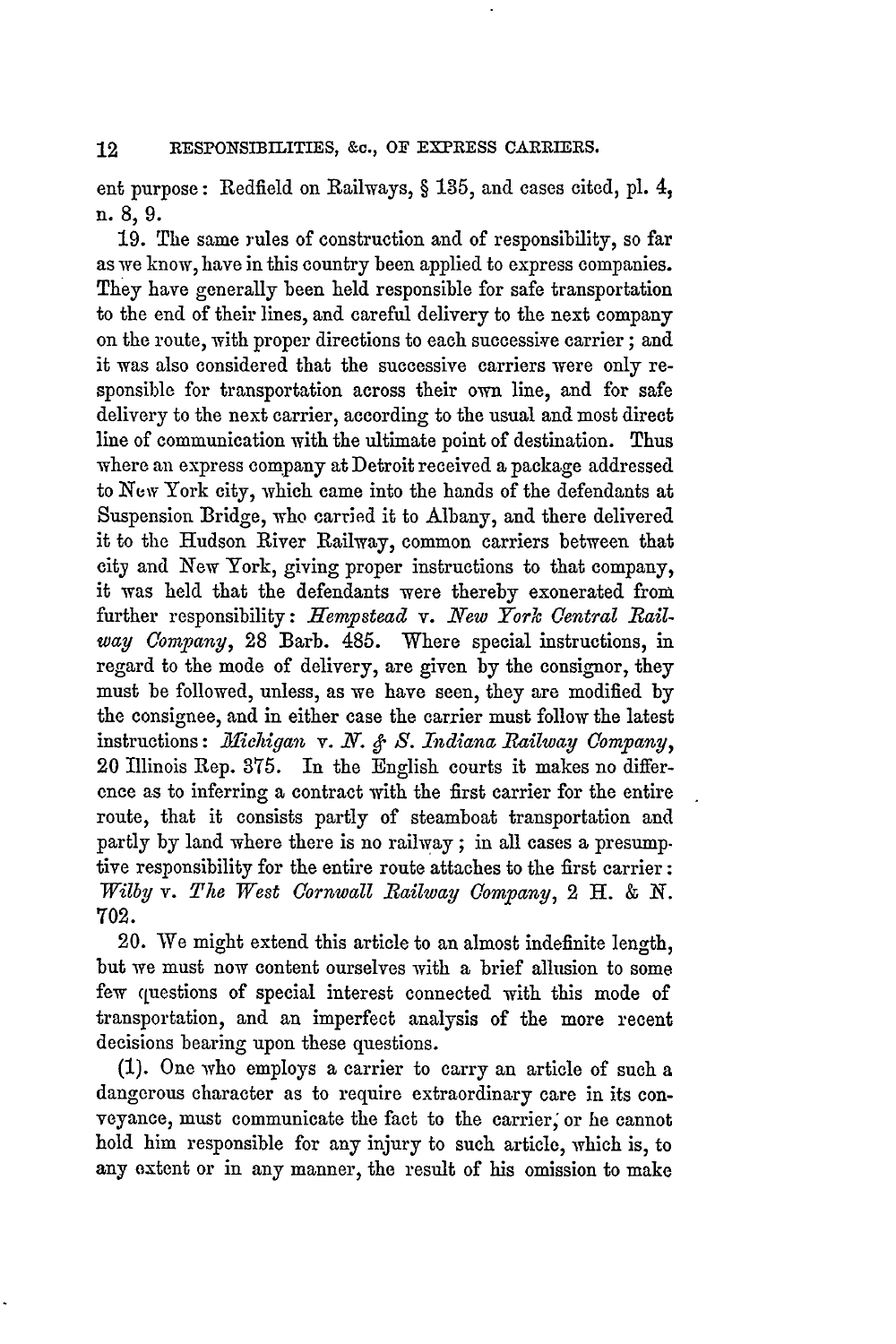ent purpose: Redfield on Railways, § **135,** and cases cited, pl. 4, n. 8, 9.

19. The same rules of construction and of responsibility, so far as we know, have in this country been applied to express companies. They have generally been held responsible for safe transportation to the end of their lines, and careful delivery to the next company on the route, with proper directions to each successive carrier; and it was also considered that the successive carriers were only responsible for transportation across their own line, and for safe delivery to the next carrier, according to the usual and most direct line of communication with the ultimate point of destination. Thus where an express company at Detroit received **a** package addressed to New York city, which came into the hands of the defendants at Suspension Bridge, who carried it to Albany, and there delivered it to the Hudson River Railway, common carriers between that city and New York, giving proper instructions to that company, it was held that the defendants were thereby exonerated from further responsibility: Hempstead v. New York Central Rail*way Company,* 28 Barb. 485. Where special instructions, in regard to the mode of delivery, are given by the consignor, they must be followed, unless, as we have seen, they are modified **by** the consignee, and in either case the carrier must follow the latest instructions: *lMlichigan v. N. & S. Indiana Railway Company,* 20 Illinois Rep. 375. In the English courts it makes no difference as to inferring a contract with the first carrier for the entire route, that it consists partly of steamboat transportation and partly by land where there is no railway; in all cases a presump. tive responsibility for the entire route attaches to the first carrier: *Vilby v. The West Cornwall Railway Company,* 2 H. *& N.* 702.

20. We might extend this article to an almost indefinite length, but we must now content ourselves with a brief allusion to some few questions of special interest connected with this mode of transportation, and an imperfect analysis of the more recent decisions bearing upon these questions.

(1). One who employs a carrier to carry an article of such a dangerous character as to require extraordinary care in its conveyance, must communicate the fact to the carrier; or he cannot hold him responsible for any injury to such article, which is, to any extent or in any manner, the result of his omission to make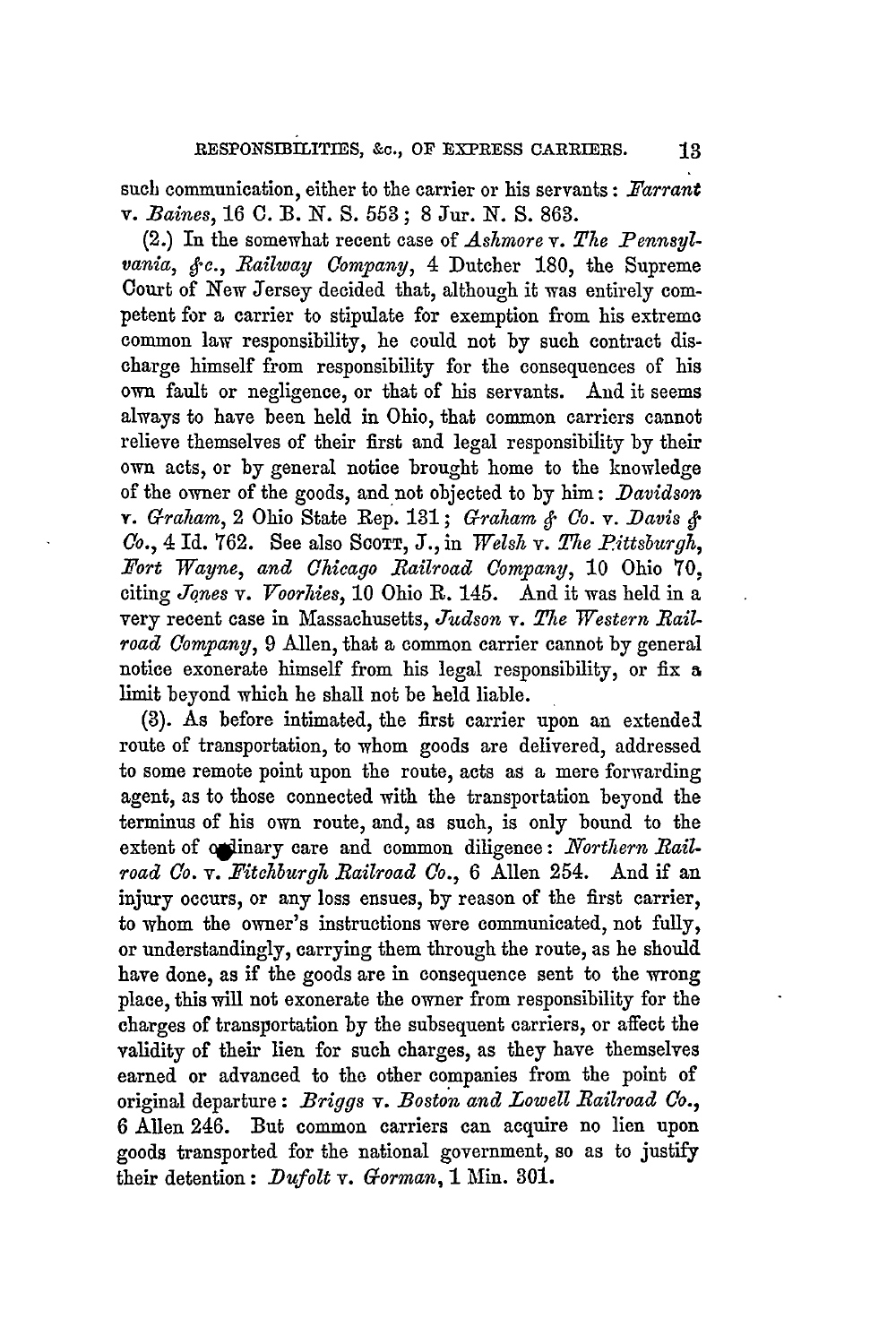such communication, either to the carrier or his servants: *Tarrant v. Baines,* 16 **0.** B. *N.* **S. 553;** 8 Jur. *N. S.* **863.**

(2.) In the somewhat recent case of *Ashmore v. The Pennsylvania, §c., Railway Company*, 4 Dutcher 180, the Supreme Court of New Jersey decided that, although it was entirely competent for a carrier to stipulate for exemption from his extreme common law responsibility, he could not by such contract discharge himself from responsibility for the consequences of his own fault or negligence, or that of his servants. **And** it seems always to have been held in Ohio, that common carriers cannot relieve themselves of their first and legal responsibility by their own acts, or by general notice brought home to the knowledge of the owner of the goods, and not objected to by him: *Davidson v. Graham,* 2 Ohio State Rep. 131; *Grahiam & Co. v. -Davis & Co.*, 4 Id. 762. See also Scorr, J., in *Welsh v. The Pittsburgh*, *Fort Wayne, and Chicago Railroad Company,* **10** Ohio **70,** citing *Jones v. Troorhies,* **10** Ohio R. 145. And it was held in a very recent case in Massachusetts, *Judson v. The Western Railroad Company,* 9 Allen, that a common carrier cannot **by** general notice exonerate himself from his legal responsibility, or fix a limit beyond which he shall not be held liable.

(3). As before intimated, the first carrier upon an extendel route of transportation, to whom goods are delivered, addressed to some remote point upon the route, acts as a mere forwarding agent, as to those connected with the transportation beyond the terminus of his own route, and, as such, is only bound to the extent of ordinary care and common diligence: *Northern Railroad Co. v. Fitchburgh Railroad Co.,* 6 Allen 254. And if an injury occurs, or any loss ensues, by reason of the first carrier, to whom the owner's instructions were communicated, not fully, or understandingly, carrying them through the route, as he should have done, as if the goods are in consequence sent to the wrong place, this will not exonerate the owner from responsibility for the charges of transportation by the subsequent carriers, or affect the validity of their lien for such charges, as they have themselves earned or advanced to the other companies from the point of original departure: *Briggs v. Boston and Lowell Railroad Co.,* 6 Allen 246. But common carriers can acquire no lien upon goods transported for the national government, so as to justify their detention: *Dufolt v. Gorman,* **1** Min. 301.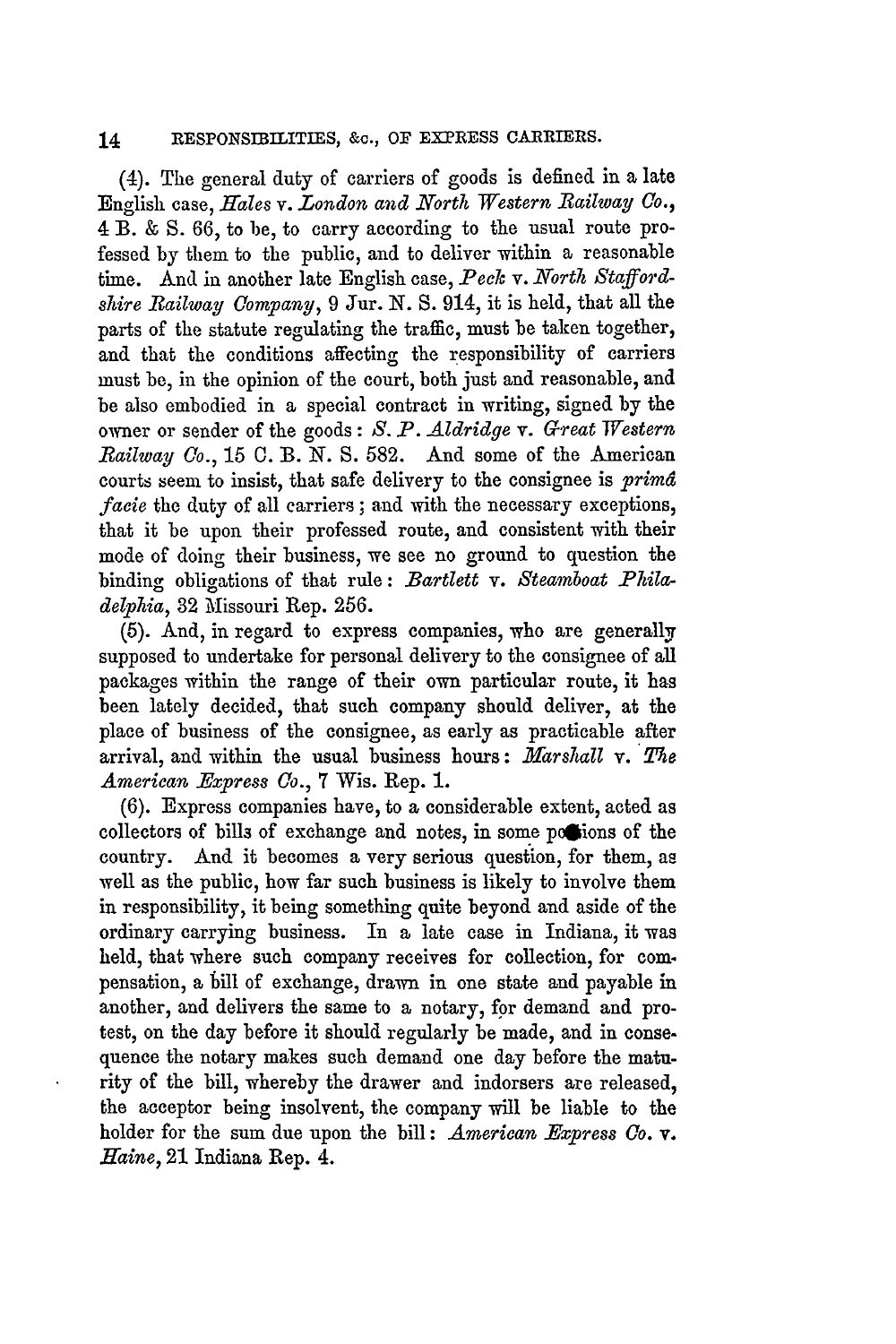(4). The general duty of carriers of goods is defined in a late English case, *Hales v. London and North Western Railway Co.,* 4 B. & S. 66, to be, to carry according to the usual route professed by them to the public, and to deliver within a reasonable time. And in another late English case, *Peck v. North Staffordshire Railway Company,* 9 Jur. N. S. 914, it is held, that all the parts of the statute regulating the traffic, must be taken together, and that the conditions affecting the responsibility of carriers must be, in the opinion of the court, both just and reasonable, and be also embodied in a special contract in writing, signed by the owner or sender of the goods: *S. P. Aldridge v. Great Western Railway Co., 15* **0.** B. *N.* S. 582. And some of the American courts seem to insist, that safe delivery to the consignee is *primd facie* the duty of all carriers; and with the necessary exceptions, that it be upon their professed route, and consistent with their mode of doing their business, we see no ground to question the binding obligations of that rule: *Bartlett v. Steamboat Philadelphia,* 32 Missouri Rep. 256.

(5). And, in regard to express companies, who are generally supposed to undertake for personal delivery to the consignee of all packages within the range of their own particular route, it has been lately decided, that such company should deliver, at the place of business of the consignee, as early as practicable after arrival, and within the usual business hours: *Marshall v. The American Express Co.,* 7 Wis. Rep. **1.**

(6). Express companies have, to a considerable extent, acted as collectors of bills of exchange and notes, in some posions of the country. And it becomes a very serious question, for them, as well as the public, how far such business is likely to involve them in responsibility, it being something quite beyond and aside of the ordinary carrying business. In a late case in Indiana, it was held, that where such company receives for collection, for compensation, a till of exchange, drawn in one state and payable in another, and delivers the same to a notary, for demand and protest, on the day before it should regularly be made, and in consequence the notary makes such demand one day before the maturity of the bill, whereby the drawer and indorsers are released, the acceptor being insolvent, the company will be liable to the holder for the sum due upon the bill: *American Express Co. v. Haine,* 21 Indiana Rep. 4.